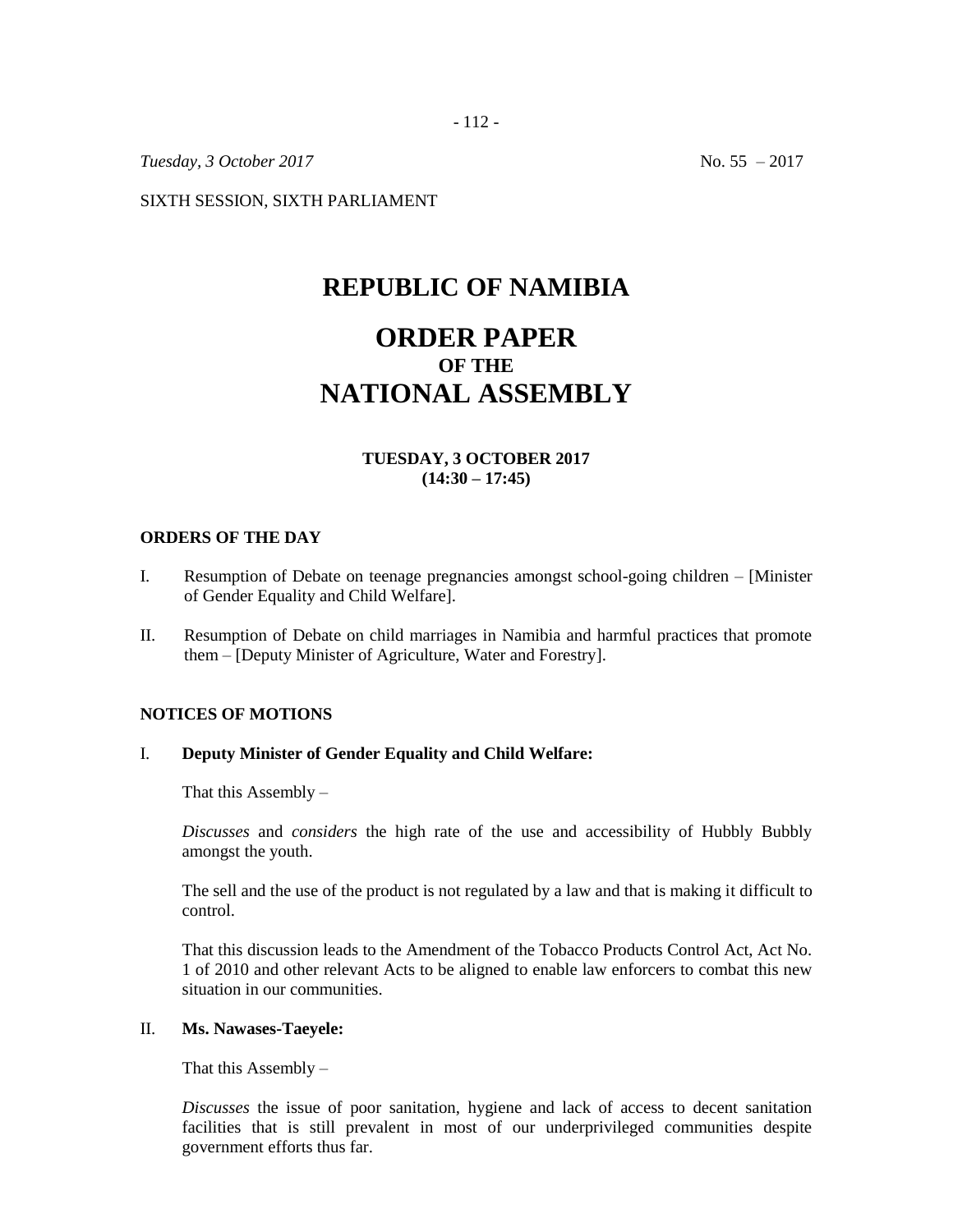- 112 -

*Tuesday, 3 October 2017* No. 55 – 2017

SIXTH SESSION, SIXTH PARLIAMENT

## **REPUBLIC OF NAMIBIA**

# **ORDER PAPER OF THE NATIONAL ASSEMBLY**

## **TUESDAY, 3 OCTOBER 2017 (14:30 – 17:45)**

#### **ORDERS OF THE DAY**

- I. Resumption of Debate on teenage pregnancies amongst school-going children [Minister of Gender Equality and Child Welfare].
- II. Resumption of Debate on child marriages in Namibia and harmful practices that promote them – [Deputy Minister of Agriculture, Water and Forestry].

#### **NOTICES OF MOTIONS**

### I. **Deputy Minister of Gender Equality and Child Welfare:**

That this Assembly –

*Discusses* and *considers* the high rate of the use and accessibility of Hubbly Bubbly amongst the youth.

The sell and the use of the product is not regulated by a law and that is making it difficult to control.

That this discussion leads to the Amendment of the Tobacco Products Control Act, Act No. 1 of 2010 and other relevant Acts to be aligned to enable law enforcers to combat this new situation in our communities.

### II. **Ms. Nawases-Taeyele:**

That this Assembly  $-$ 

*Discusses* the issue of poor sanitation, hygiene and lack of access to decent sanitation facilities that is still prevalent in most of our underprivileged communities despite government efforts thus far.